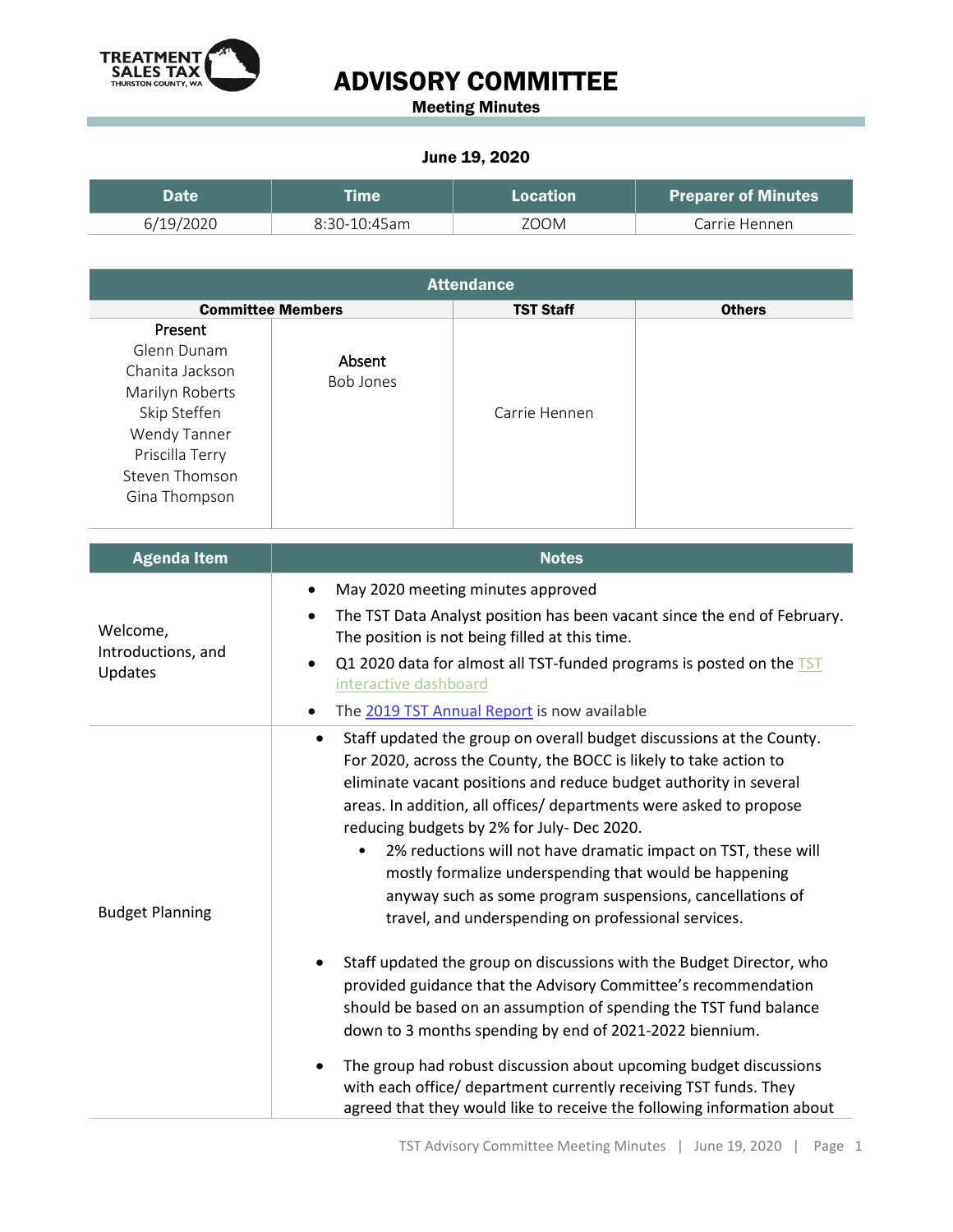

## ADVISORY COMMITTEE

Meeting Minutes

## June 19, 2020

| <b>Date</b> | <b>Eme</b>   | Location | <b>Preparer of Minutes</b> |
|-------------|--------------|----------|----------------------------|
| 6/19/2020   | 8:30-10:45am | ZOOM     | Carrie Hennen              |

| <b>Attendance</b>                                                                                                                                  |                            |                  |               |  |  |
|----------------------------------------------------------------------------------------------------------------------------------------------------|----------------------------|------------------|---------------|--|--|
| <b>Committee Members</b>                                                                                                                           |                            | <b>TST Staff</b> | <b>Others</b> |  |  |
| Present<br>Glenn Dunam<br>Chanita Jackson<br>Marilyn Roberts<br>Skip Steffen<br>Wendy Tanner<br>Priscilla Terry<br>Steven Thomson<br>Gina Thompson | Absent<br><b>Bob Jones</b> | Carrie Hennen    |               |  |  |

| <b>Agenda Item</b>                        | <b>Notes</b>                                                                                                                                                                                                                                                                                                                                                                                                                                                                                                                                                                                         |
|-------------------------------------------|------------------------------------------------------------------------------------------------------------------------------------------------------------------------------------------------------------------------------------------------------------------------------------------------------------------------------------------------------------------------------------------------------------------------------------------------------------------------------------------------------------------------------------------------------------------------------------------------------|
| Welcome,<br>Introductions, and<br>Updates | May 2020 meeting minutes approved                                                                                                                                                                                                                                                                                                                                                                                                                                                                                                                                                                    |
|                                           | The TST Data Analyst position has been vacant since the end of February.<br>$\bullet$<br>The position is not being filled at this time.                                                                                                                                                                                                                                                                                                                                                                                                                                                              |
|                                           | Q1 2020 data for almost all TST-funded programs is posted on the TST<br>$\bullet$<br>interactive dashboard                                                                                                                                                                                                                                                                                                                                                                                                                                                                                           |
|                                           | The 2019 TST Annual Report is now available<br>٠                                                                                                                                                                                                                                                                                                                                                                                                                                                                                                                                                     |
| <b>Budget Planning</b>                    | Staff updated the group on overall budget discussions at the County.<br>$\bullet$<br>For 2020, across the County, the BOCC is likely to take action to<br>eliminate vacant positions and reduce budget authority in several<br>areas. In addition, all offices/ departments were asked to propose<br>reducing budgets by 2% for July- Dec 2020.<br>2% reductions will not have dramatic impact on TST, these will<br>٠<br>mostly formalize underspending that would be happening<br>anyway such as some program suspensions, cancellations of<br>travel, and underspending on professional services. |
|                                           | Staff updated the group on discussions with the Budget Director, who<br>provided guidance that the Advisory Committee's recommendation<br>should be based on an assumption of spending the TST fund balance<br>down to 3 months spending by end of 2021-2022 biennium.<br>The group had robust discussion about upcoming budget discussions<br>with each office/ department currently receiving TST funds. They<br>agreed that they would like to receive the following information about                                                                                                            |